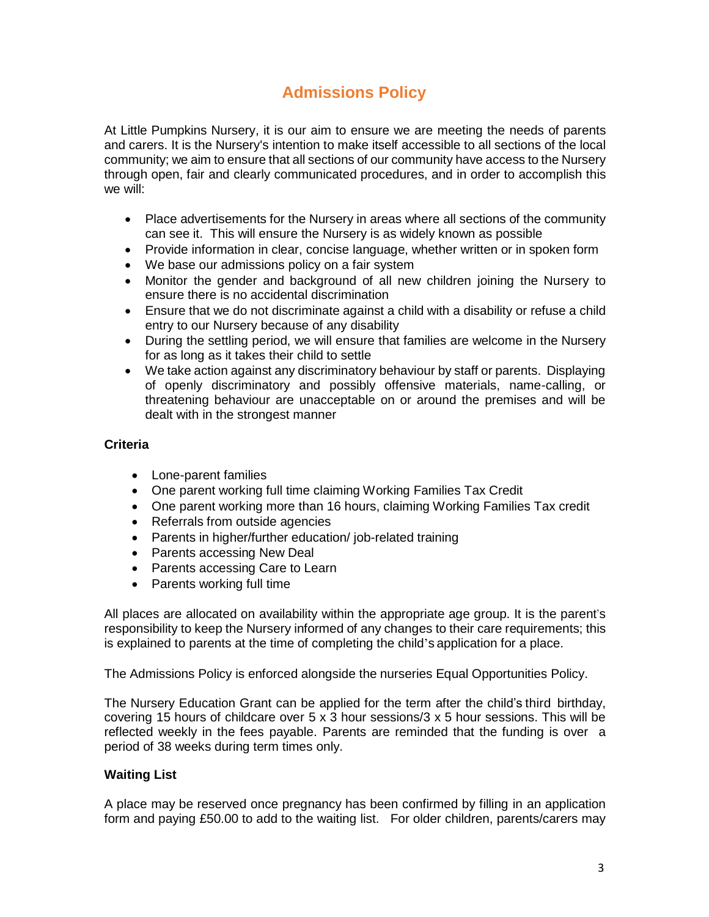# **Admissions Policy**

At Little Pumpkins Nursery, it is our aim to ensure we are meeting the needs of parents and carers. It is the Nursery's intention to make itself accessible to all sections of the local community; we aim to ensure that all sections of our community have access to the Nursery through open, fair and clearly communicated procedures, and in order to accomplish this we will:

- Place advertisements for the Nursery in areas where all sections of the community can see it. This will ensure the Nursery is as widely known as possible
- Provide information in clear, concise language, whether written or in spoken form
- We base our admissions policy on a fair system
- Monitor the gender and background of all new children joining the Nursery to ensure there is no accidental discrimination
- Ensure that we do not discriminate against a child with a disability or refuse a child entry to our Nursery because of any disability
- During the settling period, we will ensure that families are welcome in the Nursery for as long as it takes their child to settle
- We take action against any discriminatory behaviour by staff or parents. Displaying of openly discriminatory and possibly offensive materials, name-calling, or threatening behaviour are unacceptable on or around the premises and will be dealt with in the strongest manner

## **Criteria**

- Lone-parent families
- One parent working full time claiming Working Families Tax Credit
- One parent working more than 16 hours, claiming Working Families Tax credit
- Referrals from outside agencies
- Parents in higher/further education/ job-related training
- Parents accessing New Deal
- Parents accessing Care to Learn
- Parents working full time

All places are allocated on availability within the appropriate age group. It is the parent's responsibility to keep the Nursery informed of any changes to their care requirements; this is explained to parents at the time of completing the child's application for a place.

The Admissions Policy is enforced alongside the nurseries Equal Opportunities Policy.

The Nursery Education Grant can be applied for the term after the child's third birthday, covering 15 hours of childcare over 5 x 3 hour sessions/3 x 5 hour sessions. This will be reflected weekly in the fees payable. Parents are reminded that the funding is over a period of 38 weeks during term times only.

## **Waiting List**

A place may be reserved once pregnancy has been confirmed by filling in an application form and paying £50.00 to add to the waiting list. For older children, parents/carers may